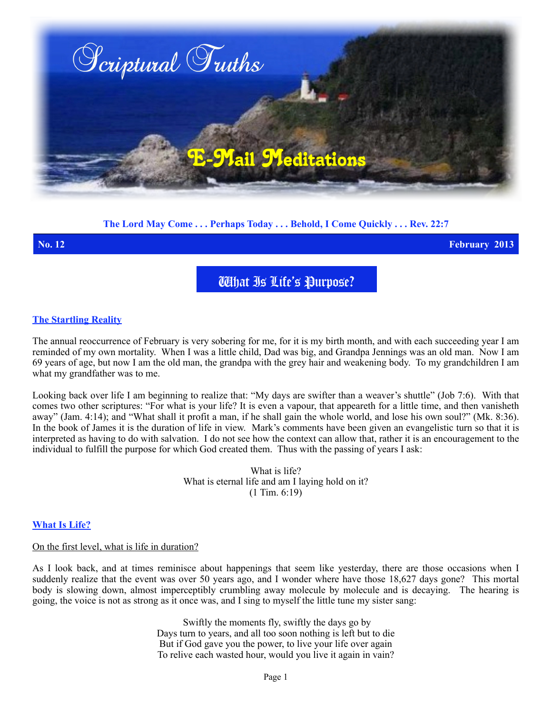

## **The Lord May Come . . . Perhaps Today . . . Behold, I Come Quickly . . . Rev. 22:7**

**No. 12 February 2013**

What Is Life's Purpose?

### **The Startling Reality**

The annual reoccurrence of February is very sobering for me, for it is my birth month, and with each succeeding year I am reminded of my own mortality. When I was a little child, Dad was big, and Grandpa Jennings was an old man. Now I am 69 years of age, but now I am the old man, the grandpa with the grey hair and weakening body. To my grandchildren I am what my grandfather was to me.

Looking back over life I am beginning to realize that: "My days are swifter than a weaver's shuttle" (Job 7:6). With that comes two other scriptures: "For what is your life? It is even a vapour, that appeareth for a little time, and then vanisheth away" (Jam. 4:14); and "What shall it profit a man, if he shall gain the whole world, and lose his own soul?" (Mk. 8:36). In the book of James it is the duration of life in view. Mark's comments have been given an evangelistic turn so that it is interpreted as having to do with salvation. I do not see how the context can allow that, rather it is an encouragement to the individual to fulfill the purpose for which God created them. Thus with the passing of years I ask:

> What is life? What is eternal life and am I laying hold on it? (1 Tim. 6:19)

### **What Is Life?**

#### On the first level, what is life in duration?

As I look back, and at times reminisce about happenings that seem like yesterday, there are those occasions when I suddenly realize that the event was over 50 years ago, and I wonder where have those 18,627 days gone? This mortal body is slowing down, almost imperceptibly crumbling away molecule by molecule and is decaying. The hearing is going, the voice is not as strong as it once was, and I sing to myself the little tune my sister sang:

> Swiftly the moments fly, swiftly the days go by Days turn to years, and all too soon nothing is left but to die But if God gave you the power, to live your life over again To relive each wasted hour, would you live it again in vain?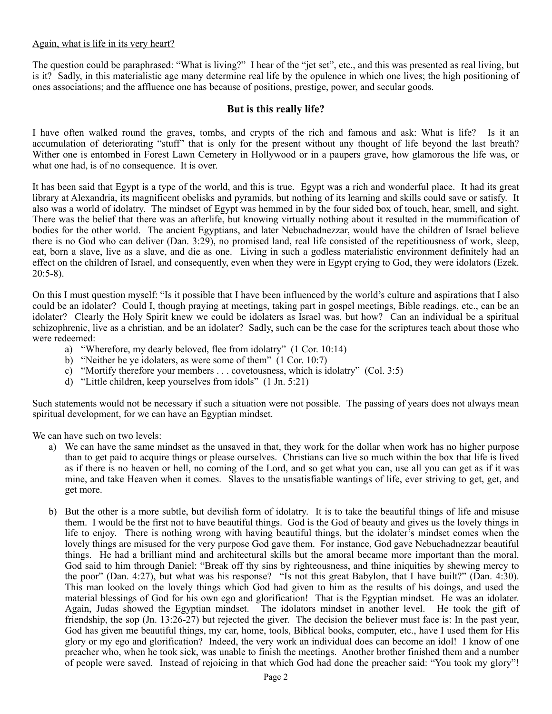### Again, what is life in its very heart?

The question could be paraphrased: "What is living?" I hear of the "jet set", etc., and this was presented as real living, but is it? Sadly, in this materialistic age many determine real life by the opulence in which one lives; the high positioning of ones associations; and the affluence one has because of positions, prestige, power, and secular goods.

# **But is this really life?**

I have often walked round the graves, tombs, and crypts of the rich and famous and ask: What is life? Is it an accumulation of deteriorating "stuff" that is only for the present without any thought of life beyond the last breath? Wither one is entombed in Forest Lawn Cemetery in Hollywood or in a paupers grave, how glamorous the life was, or what one had, is of no consequence. It is over.

It has been said that Egypt is a type of the world, and this is true. Egypt was a rich and wonderful place. It had its great library at Alexandria, its magnificent obelisks and pyramids, but nothing of its learning and skills could save or satisfy. It also was a world of idolatry. The mindset of Egypt was hemmed in by the four sided box of touch, hear, smell, and sight. There was the belief that there was an afterlife, but knowing virtually nothing about it resulted in the mummification of bodies for the other world. The ancient Egyptians, and later Nebuchadnezzar, would have the children of Israel believe there is no God who can deliver (Dan. 3:29), no promised land, real life consisted of the repetitiousness of work, sleep, eat, born a slave, live as a slave, and die as one. Living in such a godless materialistic environment definitely had an effect on the children of Israel, and consequently, even when they were in Egypt crying to God, they were idolators (Ezek. 20:5-8).

On this I must question myself: "Is it possible that I have been influenced by the world's culture and aspirations that I also could be an idolater? Could I, though praying at meetings, taking part in gospel meetings, Bible readings, etc., can be an idolater? Clearly the Holy Spirit knew we could be idolaters as Israel was, but how? Can an individual be a spiritual schizophrenic, live as a christian, and be an idolater? Sadly, such can be the case for the scriptures teach about those who were redeemed:

- a) "Wherefore, my dearly beloved, flee from idolatry" (1 Cor. 10:14)
- b) "Neither be ye idolaters, as were some of them" (1 Cor. 10:7)
- c) "Mortify therefore your members . . . covetousness, which is idolatry" (Col. 3:5)
- d) "Little children, keep yourselves from idols" (1 Jn. 5:21)

Such statements would not be necessary if such a situation were not possible. The passing of years does not always mean spiritual development, for we can have an Egyptian mindset.

We can have such on two levels:

- a) We can have the same mindset as the unsaved in that, they work for the dollar when work has no higher purpose than to get paid to acquire things or please ourselves. Christians can live so much within the box that life is lived as if there is no heaven or hell, no coming of the Lord, and so get what you can, use all you can get as if it was mine, and take Heaven when it comes. Slaves to the unsatisfiable wantings of life, ever striving to get, get, and get more.
- b) But the other is a more subtle, but devilish form of idolatry. It is to take the beautiful things of life and misuse them. I would be the first not to have beautiful things. God is the God of beauty and gives us the lovely things in life to enjoy. There is nothing wrong with having beautiful things, but the idolater's mindset comes when the lovely things are misused for the very purpose God gave them. For instance, God gave Nebuchadnezzar beautiful things. He had a brilliant mind and architectural skills but the amoral became more important than the moral. God said to him through Daniel: "Break off thy sins by righteousness, and thine iniquities by shewing mercy to the poor" (Dan. 4:27), but what was his response? "Is not this great Babylon, that I have built?" (Dan. 4:30). This man looked on the lovely things which God had given to him as the results of his doings, and used the material blessings of God for his own ego and glorification! That is the Egyptian mindset. He was an idolater. Again, Judas showed the Egyptian mindset. The idolators mindset in another level. He took the gift of friendship, the sop (Jn. 13:26-27) but rejected the giver. The decision the believer must face is: In the past year, God has given me beautiful things, my car, home, tools, Biblical books, computer, etc., have I used them for His glory or my ego and glorification? Indeed, the very work an individual does can become an idol! I know of one preacher who, when he took sick, was unable to finish the meetings. Another brother finished them and a number of people were saved. Instead of rejoicing in that which God had done the preacher said: "You took my glory"!